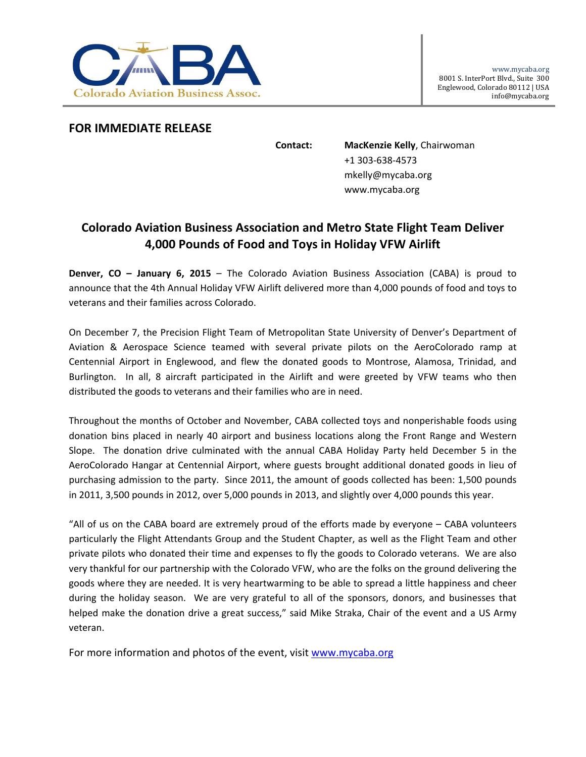

## **FOR IMMEDIATE RELEASE**

**Contact: MacKenzie Kelly**, Chairwoman +1 303‐638‐4573 mkelly@mycaba.org www.mycaba.org

## **Colorado Aviation Business Association and Metro State Flight Team Deliver 4,000 Pounds of Food and Toys in Holiday VFW Airlift**

**Denver, CO – January 6, 2015** – The Colorado Aviation Business Association (CABA) is proud to announce that the 4th Annual Holiday VFW Airlift delivered more than 4,000 pounds of food and toys to veterans and their families across Colorado.

On December 7, the Precision Flight Team of Metropolitan State University of Denver's Department of Aviation & Aerospace Science teamed with several private pilots on the AeroColorado ramp at Centennial Airport in Englewood, and flew the donated goods to Montrose, Alamosa, Trinidad, and Burlington. In all, 8 aircraft participated in the Airlift and were greeted by VFW teams who then distributed the goods to veterans and their families who are in need.

Throughout the months of October and November, CABA collected toys and nonperishable foods using donation bins placed in nearly 40 airport and business locations along the Front Range and Western Slope. The donation drive culminated with the annual CABA Holiday Party held December 5 in the AeroColorado Hangar at Centennial Airport, where guests brought additional donated goods in lieu of purchasing admission to the party. Since 2011, the amount of goods collected has been: 1,500 pounds in 2011, 3,500 pounds in 2012, over 5,000 pounds in 2013, and slightly over 4,000 pounds this year.

"All of us on the CABA board are extremely proud of the efforts made by everyone – CABA volunteers particularly the Flight Attendants Group and the Student Chapter, as well as the Flight Team and other private pilots who donated their time and expenses to fly the goods to Colorado veterans. We are also very thankful for our partnership with the Colorado VFW, who are the folks on the ground delivering the goods where they are needed. It is very heartwarming to be able to spread a little happiness and cheer during the holiday season. We are very grateful to all of the sponsors, donors, and businesses that helped make the donation drive a great success," said Mike Straka, Chair of the event and a US Army veteran.

For more information and photos of the event, visit www.mycaba.org